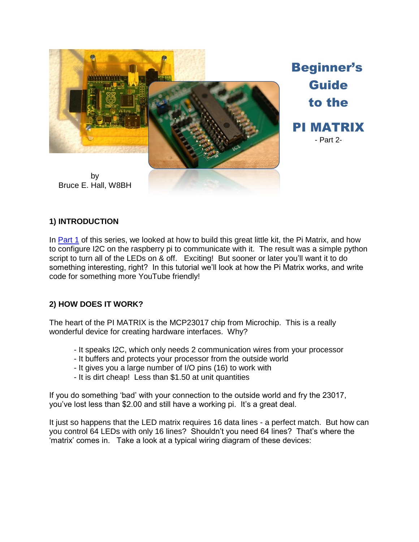

**1) INTRODUCTION**

In [Part 1](http://w8bh.net/pi/PiMatrix1.pdf) of this series, we looked at how to build this great little kit, the Pi Matrix, and how to configure I2C on the raspberry pi to communicate with it. The result was a simple python script to turn all of the LEDs on & off. Exciting! But sooner or later you'll want it to do something interesting, right? In this tutorial we'll look at how the Pi Matrix works, and write code for something more YouTube friendly!

### **2) HOW DOES IT WORK?**

The heart of the PI MATRIX is the MCP23017 chip from Microchip. This is a really wonderful device for creating hardware interfaces. Why?

- It speaks I2C, which only needs 2 communication wires from your processor
- It buffers and protects your processor from the outside world
- It gives you a large number of I/O pins (16) to work with
- It is dirt cheap! Less than \$1.50 at unit quantities

If you do something 'bad' with your connection to the outside world and fry the 23017, you've lost less than \$2.00 and still have a working pi. It's a great deal.

It just so happens that the LED matrix requires 16 data lines - a perfect match. But how can you control 64 LEDs with only 16 lines? Shouldn't you need 64 lines? That's where the 'matrix' comes in. Take a look at a typical wiring diagram of these devices: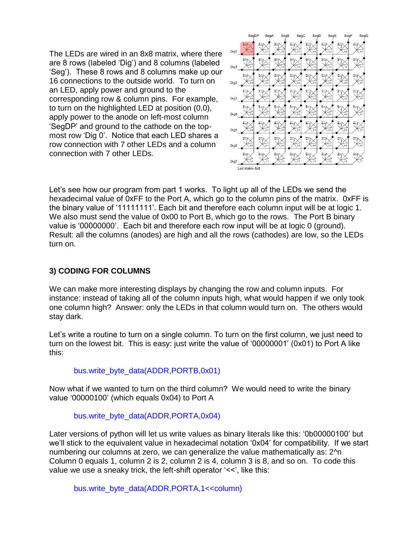The LEDs are wired in an 8x8 matrix, where there are 8 rows (labeled 'Dig') and 8 columns (labeled 'Seg'). These 8 rows and 8 columns make up our 16 connections to the outside world. To turn on an LED, apply power and ground to the corresponding row & column pins. For example, to turn on the highlighted LED at position (0,0), apply power to the anode on left-most column 'SegDP' and ground to the cathode on the topmost row 'Dig 0'. Notice that each LED shares a row connection with 7 other LEDs and a column connection with 7 other LEDs.



Let's see how our program from part 1 works. To light up all of the LEDs we send the hexadecimal value of 0xFF to the Port A, which go to the column pins of the matrix. 0xFF is the binary value of '11111111'. Each bit and therefore each column input will be at logic 1. We also must send the value of 0x00 to Port B, which go to the rows. The Port B binary value is '00000000'. Each bit and therefore each row input will be at logic 0 (ground). Result: all the columns (anodes) are high and all the rows (cathodes) are low, so the LEDs turn on.

# **3) CODING FOR COLUMNS**

We can make more interesting displays by changing the row and column inputs. For instance: instead of taking all of the column inputs high, what would happen if we only took one column high? Answer: only the LEDs in that column would turn on. The others would stay dark.

Let's write a routine to turn on a single column. To turn on the first column, we just need to turn on the lowest bit. This is easy: just write the value of '00000001' (0x01) to Port A like this:

### bus.write\_byte\_data(ADDR,PORTB,0x01)

Now what if we wanted to turn on the third column? We would need to write the binary value '00000100' (which equals 0x04) to Port A

### bus.write\_byte\_data(ADDR,PORTA,0x04)

Later versions of python will let us write values as binary literals like this: '0b00000100' but we'll stick to the equivalent value in hexadecimal notation '0x04' for compatibility. If we start numbering our columns at zero, we can generalize the value mathematically as: 2^n Column 0 equals 1, column 2 is 2, column 2 is 4, column 3 is 8, and so on. To code this value we use a sneaky trick, the left-shift operator '<<', like this:

bus.write\_byte\_data(ADDR,PORTA,1<<column)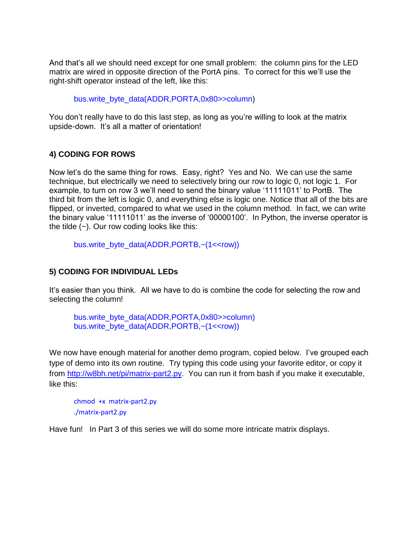And that's all we should need except for one small problem: the column pins for the LED matrix are wired in opposite direction of the PortA pins. To correct for this we'll use the right-shift operator instead of the left, like this:

bus.write\_byte\_data(ADDR,PORTA,0x80>>column)

You don't really have to do this last step, as long as you're willing to look at the matrix upside-down. It's all a matter of orientation!

## **4) CODING FOR ROWS**

Now let's do the same thing for rows. Easy, right? Yes and No. We can use the same technique, but electrically we need to selectively bring our row to logic 0, not logic 1. For example, to turn on row 3 we'll need to send the binary value '11111011' to PortB. The third bit from the left is logic 0, and everything else is logic one. Notice that all of the bits are flipped, or inverted, compared to what we used in the column method. In fact, we can write the binary value '11111011' as the inverse of '00000100'. In Python, the inverse operator is the tilde  $(-)$ . Our row coding looks like this:

bus.write\_byte\_data(ADDR,PORTB,~(1<<row))

### **5) CODING FOR INDIVIDUAL LEDs**

It's easier than you think. All we have to do is combine the code for selecting the row and selecting the column!

bus.write\_byte\_data(ADDR,PORTA,0x80>>column) bus.write\_byte\_data(ADDR,PORTB,~(1<<row))

We now have enough material for another demo program, copied below. I've grouped each type of demo into its own routine. Try typing this code using your favorite editor, or copy it from [http://w8bh.net/pi/matrix-part2.py.](http://w8bh.net/pi/matrix-part2.py) You can run it from bash if you make it executable, like this:

chmod +x matrix-part2.py ./matrix-part2.py

Have fun! In Part 3 of this series we will do some more intricate matrix displays.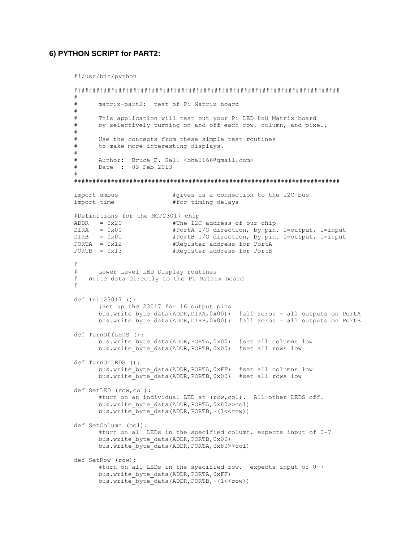#### **6) PYTHON SCRIPT for PART2:**

#!/usr/bin/python

```
########################################################################
#
# matrix-part2: test of Pi Matrix board
#
# This application will test out your Pi LED 8x8 Matrix board
# by selectively turning on and off each row, column, and pixel.
# 
# Use the concepts from these simple test routines
# to make more interesting displays.
#
# Author: Bruce E. Hall <br/>bhall66@gmail.com>
# Date : 03 Feb 2013
#
########################################################################
import smbus #gives us a connection to the I2C bus
import time #for timing delays
#Definitions for the MCP23017 chip
ADDR = 0x20 #The I2C address of our chip
DIRA = 0x00 #PortA I/O direction, by pin. 0=output, 1=input
DIRB = 0x01 #PortB I/O direction, by pin. 0=output, 1=input
PORTA = 0x12 #Register address for PortA
PORTB = 0x13 #Register address for PortB
#
# Lower Level LED Display routines
# Write data directly to the Pi Matrix board
#
def Init23017 ():
      #Set up the 23017 for 16 output pins
      bus.write byte data(ADDR,DIRA,0x00); #all zeros = all outputs on PortA
      bus.write byte data(ADDR,DIRB,0x00); #all zeros = all outputs on PortB
def TurnOffLEDS ():
      bus.write byte data(ADDR, PORTA, 0x00) #set all columns low
      bus.write byte data(ADDR, PORTB,0x00) #set all rows low
def TurnOnLEDS ():
      bus.write byte data(ADDR, PORTA, 0xFF) #set all columns low
      bus.write_byte_data(ADDR,PORTB,0x00) #set all rows low
def SetLED (row,col):
      #turn on an individual LED at (row,col). All other LEDS off.
      bus.write byte data(ADDR, PORTA, 0x80>>col)
      bus.write_byte_data(ADDR, PORTB, ~(1<<row))
def SetColumn (col):
      #turn on all LEDs in the specified column. expects input of 0-7
      bus.write byte data(ADDR, PORTB, 0x00)
      bus.write byte data(ADDR, PORTA, 0x80>>col)
def SetRow (row):
      #turn on all LEDs in the specified row. expects input of 0-7
      bus.write byte data(ADDR, PORTA, 0xFF)
      bus.write_byte_data(ADDR, PORTB, ~(1<<row))
```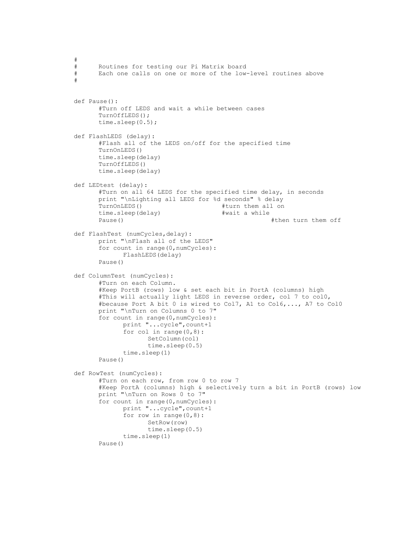```
#
# Routines for testing our Pi Matrix board
# Each one calls on one or more of the low-level routines above
#
def Pause():
       #Turn off LEDS and wait a while between cases
       TurnOffLEDS();
       time.sleep(0.5);
def FlashLEDS (delay):
       #Flash all of the LEDS on/off for the specified time
       TurnOnLEDS()
       time.sleep(delay)
       TurnOffLEDS()
       time.sleep(delay)
def LEDtest (delay):
       #Turn on all 64 LEDS for the specified time delay, in seconds
       print "\nLighting all LEDS for %d seconds" % delay
       TurnOnLEDS() #turn turn them all on
       time.sleep(delay) #wait a while
       Pause() The metal control of the metal term of them of them of them of them of them of them of them of them of them of them of them of them of them of them of them of them of them of them of them of them of them of them of
def FlashTest (numCycles,delay):
       print "\nFlash all of the LEDS"
       for count in range(0,numCycles):
              FlashLEDS(delay)
       Pause()
def ColumnTest (numCycles):
       #Turn on each Column. 
       #Keep PortB (rows) low & set each bit in PortA (columns) high
       #This will actually light LEDS in reverse order, col 7 to col0,
       #because Port A bit 0 is wired to Col7, A1 to Col6,..., A7 to Col0
       print "\nTurn on Columns 0 to 7"
       for count in range(0,numCycles):
               print "...cycle",count+1
               for col in range(0,8):
                     SetColumn(col)
                     time.sleep(0.5)
              time.sleep(1)
       Pause()
def RowTest (numCycles):
       #Turn on each row, from row 0 to row 7
       #Keep PortA (columns) high & selectively turn a bit in PortB (rows) low
       print "\nTurn on Rows 0 to 7"
       for count in range(0,numCycles):
               print "...cycle",count+1
              for row in range(0, 8):
                      SetRow(row)
                      time.sleep(0.5)
              time.sleep(1)
       Pause()
```